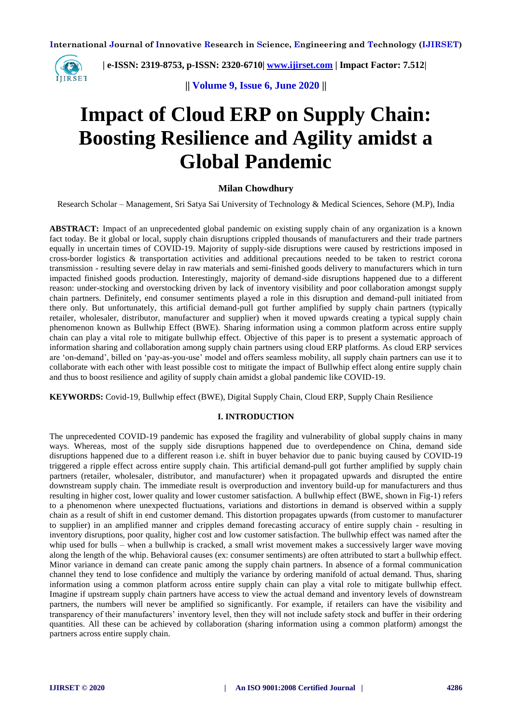

 **| e-ISSN: 2319-8753, p-ISSN: 2320-6710| [www.ijirset.com](http://www.ijirset.com/) | Impact Factor: 7.512|**

**|| Volume 9, Issue 6, June 2020 ||** 

# **Impact of Cloud ERP on Supply Chain: Boosting Resilience and Agility amidst a Global Pandemic**

## **Milan Chowdhury**

Research Scholar – Management, Sri Satya Sai University of Technology & Medical Sciences, Sehore (M.P), India

**ABSTRACT:** Impact of an unprecedented global pandemic on existing supply chain of any organization is a known fact today. Be it global or local, supply chain disruptions crippled thousands of manufacturers and their trade partners equally in uncertain times of COVID-19. Majority of supply-side disruptions were caused by restrictions imposed in cross-border logistics & transportation activities and additional precautions needed to be taken to restrict corona transmission - resulting severe delay in raw materials and semi-finished goods delivery to manufacturers which in turn impacted finished goods production. Interestingly, majority of demand-side disruptions happened due to a different reason: under-stocking and overstocking driven by lack of inventory visibility and poor collaboration amongst supply chain partners. Definitely, end consumer sentiments played a role in this disruption and demand-pull initiated from there only. But unfortunately, this artificial demand-pull got further amplified by supply chain partners (typically retailer, wholesaler, distributor, manufacturer and supplier) when it moved upwards creating a typical supply chain phenomenon known as Bullwhip Effect (BWE). Sharing information using a common platform across entire supply chain can play a vital role to mitigate bullwhip effect. Objective of this paper is to present a systematic approach of information sharing and collaboration among supply chain partners using cloud ERP platforms. As cloud ERP services are 'on-demand', billed on 'pay-as-you-use' model and offers seamless mobility, all supply chain partners can use it to collaborate with each other with least possible cost to mitigate the impact of Bullwhip effect along entire supply chain and thus to boost resilience and agility of supply chain amidst a global pandemic like COVID-19.

**KEYWORDS:** Covid-19, Bullwhip effect (BWE), Digital Supply Chain, Cloud ERP, Supply Chain Resilience

## **I. INTRODUCTION**

The unprecedented COVID-19 pandemic has exposed the fragility and vulnerability of global supply chains in many ways. Whereas, most of the supply side disruptions happened due to overdependence on China, demand side disruptions happened due to a different reason i.e. shift in buyer behavior due to panic buying caused by COVID-19 triggered a ripple effect across entire supply chain. This artificial demand-pull got further amplified by supply chain partners (retailer, wholesaler, distributor, and manufacturer) when it propagated upwards and disrupted the entire downstream supply chain. The immediate result is overproduction and inventory build-up for manufacturers and thus resulting in higher cost, lower quality and lower customer satisfaction. A bullwhip effect (BWE, shown in Fig-1) refers to a phenomenon where unexpected fluctuations, variations and distortions in demand is observed within a supply chain as a result of shift in end customer demand. This distortion propagates upwards (from customer to manufacturer to supplier) in an amplified manner and cripples demand forecasting accuracy of entire supply chain - resulting in inventory disruptions, poor quality, higher cost and low customer satisfaction. The bullwhip effect was named after the whip used for bulls – when a bullwhip is cracked, a small wrist movement makes a successively larger wave moving along the length of the whip. Behavioral causes (ex: consumer sentiments) are often attributed to start a bullwhip effect. Minor variance in demand can create panic among the supply chain partners. In absence of a formal communication channel they tend to lose confidence and multiply the variance by ordering manifold of actual demand. Thus, sharing information using a common platform across entire supply chain can play a vital role to mitigate bullwhip effect. Imagine if upstream supply chain partners have access to view the actual demand and inventory levels of downstream partners, the numbers will never be amplified so significantly. For example, if retailers can have the visibility and transparency of their manufacturers' inventory level, then they will not include safety stock and buffer in their ordering quantities. All these can be achieved by collaboration (sharing information using a common platform) amongst the partners across entire supply chain.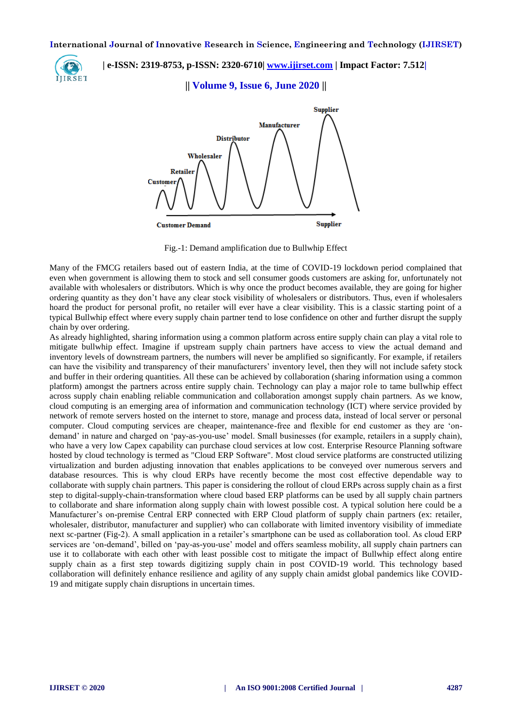

 **| e-ISSN: 2319-8753, p-ISSN: 2320-6710| [www.ijirset.com](http://www.ijirset.com/) | Impact Factor: 7.512|**

**|| Volume 9, Issue 6, June 2020 ||** 



Fig.-1: Demand amplification due to Bullwhip Effect

Many of the FMCG retailers based out of eastern India, at the time of COVID-19 lockdown period complained that even when government is allowing them to stock and sell consumer goods customers are asking for, unfortunately not available with wholesalers or distributors. Which is why once the product becomes available, they are going for higher ordering quantity as they don't have any clear stock visibility of wholesalers or distributors. Thus, even if wholesalers hoard the product for personal profit, no retailer will ever have a clear visibility. This is a classic starting point of a typical Bullwhip effect where every supply chain partner tend to lose confidence on other and further disrupt the supply chain by over ordering.

As already highlighted, sharing information using a common platform across entire supply chain can play a vital role to mitigate bullwhip effect. Imagine if upstream supply chain partners have access to view the actual demand and inventory levels of downstream partners, the numbers will never be amplified so significantly. For example, if retailers can have the visibility and transparency of their manufacturers' inventory level, then they will not include safety stock and buffer in their ordering quantities. All these can be achieved by collaboration (sharing information using a common platform) amongst the partners across entire supply chain. Technology can play a major role to tame bullwhip effect across supply chain enabling reliable communication and collaboration amongst supply chain partners. As we know, cloud computing is an emerging area of information and communication technology (ICT) where service provided by network of remote servers hosted on the internet to store, manage and process data, instead of local server or personal computer. Cloud computing services are cheaper, maintenance-free and flexible for end customer as they are 'ondemand' in nature and charged on 'pay-as-you-use' model. Small businesses (for example, retailers in a supply chain), who have a very low Capex capability can purchase cloud services at low cost. Enterprise Resource Planning software hosted by cloud technology is termed as "Cloud ERP Software". Most cloud service platforms are constructed utilizing virtualization and burden adjusting innovation that enables applications to be conveyed over numerous servers and database resources. This is why cloud ERPs have recently become the most cost effective dependable way to collaborate with supply chain partners. This paper is considering the rollout of cloud ERPs across supply chain as a first step to digital-supply-chain-transformation where cloud based ERP platforms can be used by all supply chain partners to collaborate and share information along supply chain with lowest possible cost. A typical solution here could be a Manufacturer's on-premise Central ERP connected with ERP Cloud platform of supply chain partners (ex: retailer, wholesaler, distributor, manufacturer and supplier) who can collaborate with limited inventory visibility of immediate next sc-partner (Fig-2). A small application in a retailer's smartphone can be used as collaboration tool. As cloud ERP services are 'on-demand', billed on 'pay-as-you-use' model and offers seamless mobility, all supply chain partners can use it to collaborate with each other with least possible cost to mitigate the impact of Bullwhip effect along entire supply chain as a first step towards digitizing supply chain in post COVID-19 world. This technology based collaboration will definitely enhance resilience and agility of any supply chain amidst global pandemics like COVID-19 and mitigate supply chain disruptions in uncertain times.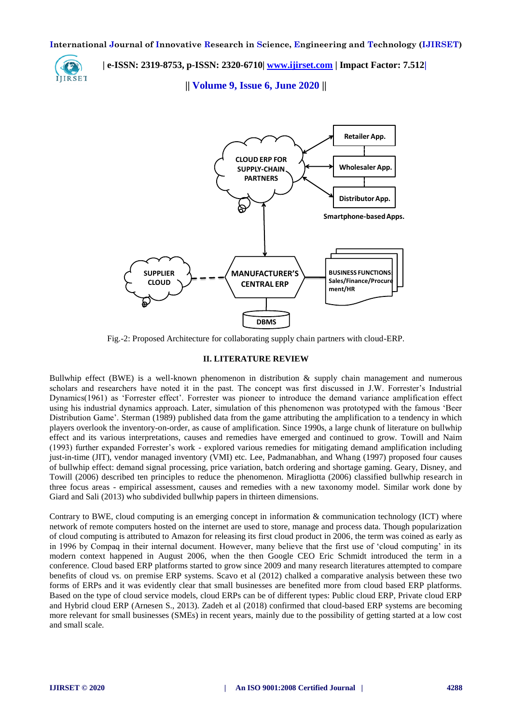

 **| e-ISSN: 2319-8753, p-ISSN: 2320-6710| [www.ijirset.com](http://www.ijirset.com/) | Impact Factor: 7.512|**

**|| Volume 9, Issue 6, June 2020 ||** 



Fig.-2: Proposed Architecture for collaborating supply chain partners with cloud-ERP.

#### **II. LITERATURE REVIEW**

Bullwhip effect (BWE) is a well-known phenomenon in distribution & supply chain management and numerous scholars and researchers have noted it in the past. The concept was first discussed in J.W. Forrester's Industrial Dynamics(1961) as 'Forrester effect'. Forrester was pioneer to introduce the demand variance amplification effect using his industrial dynamics approach. Later, simulation of this phenomenon was prototyped with the famous 'Beer Distribution Game'. [Sterman \(1989\)](https://www.sciencedirect.com/science/article/pii/S0377221715006554#bib0146) published data from the game attributing the amplification to a tendency in which players overlook the inventory-on-order, as cause of amplification. Since 1990s, a large chunk of literature on bullwhip effect and its various interpretations, causes and remedies have emerged and continued to grow. Towill and Naim (1993) further expanded Forrester's work - explored various remedies for mitigating demand amplification including just-in-time (JIT), vendor managed inventory (VMI) etc. Lee, Padmanabhan, and Whang (1997) proposed four causes of bullwhip effect: demand signal processing, price variation, batch ordering and shortage gaming. Geary, Disney, and Towill (2006) described ten principles to reduce the phenomenon. Miragliotta (2006) classified bullwhip research in three focus areas - empirical assessment, causes and remedies with a new taxonomy model. Similar work done by Giard and Sali (2013) who subdivided bullwhip papers in thirteen dimensions.

Contrary to BWE, cloud computing is an emerging concept in information  $\&$  communication technology (ICT) where network of remote computers hosted on the internet are used to store, manage and process data. Though popularization of cloud computing is attributed to Amazon for releasing its first cloud product in 2006, the term was coined as early as in 1996 by Compaq in their internal document. However, many believe that the first use of 'cloud computing' in its modern context happened in August 2006, when the then Google CEO Eric Schmidt introduced the term in a conference. Cloud based ERP platforms started to grow since 2009 and many research literatures attempted to compare benefits of cloud vs. on premise ERP systems. Scavo et al (2012) chalked a comparative analysis between these two forms of ERPs and it was evidently clear that small businesses are benefited more from cloud based ERP platforms. Based on the type of cloud service models, cloud ERPs can be of different types: Public cloud ERP, Private cloud ERP and Hybrid cloud ERP (Arnesen S., 2013). Zadeh et al (2018) confirmed that cloud-based ERP systems are becoming more relevant for small businesses (SMEs) in recent years, mainly due to the possibility of getting started at a low cost and small scale.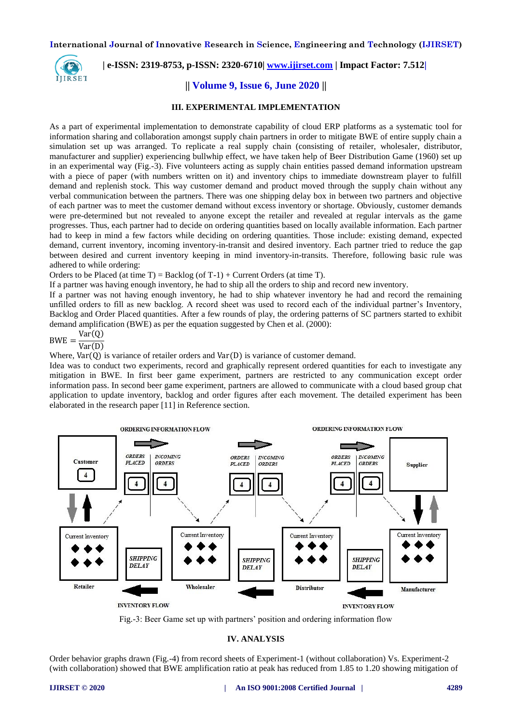

## **| e-ISSN: 2319-8753, p-ISSN: 2320-6710| [www.ijirset.com](http://www.ijirset.com/) | Impact Factor: 7.512|**

## **|| Volume 9, Issue 6, June 2020 ||**

#### **III. EXPERIMENTAL IMPLEMENTATION**

As a part of experimental implementation to demonstrate capability of cloud ERP platforms as a systematic tool for information sharing and collaboration amongst supply chain partners in order to mitigate BWE of entire supply chain a simulation set up was arranged. To replicate a real supply chain (consisting of retailer, wholesaler, distributor, manufacturer and supplier) experiencing bullwhip effect, we have taken help of Beer Distribution Game (1960) set up in an experimental way (Fig.-3). Five volunteers acting as supply chain entities passed demand information upstream with a piece of paper (with numbers written on it) and inventory chips to immediate downstream player to fulfill demand and replenish stock. This way customer demand and product moved through the supply chain without any verbal communication between the partners. There was one shipping delay box in between two partners and objective of each partner was to meet the customer demand without excess inventory or shortage. Obviously, customer demands were pre-determined but not revealed to anyone except the retailer and revealed at regular intervals as the game progresses. Thus, each partner had to decide on ordering quantities based on locally available information. Each partner had to keep in mind a few factors while deciding on ordering quantities. Those include: existing demand, expected demand, current inventory, incoming inventory-in-transit and desired inventory. Each partner tried to reduce the gap between desired and current inventory keeping in mind inventory-in-transits. Therefore, following basic rule was adhered to while ordering:

Orders to be Placed (at time  $T$ ) = Backlog (of  $T-1$ ) + Current Orders (at time T).

If a partner was having enough inventory, he had to ship all the orders to ship and record new inventory.

If a partner was not having enough inventory, he had to ship whatever inventory he had and record the remaining unfilled orders to fill as new backlog. A record sheet was used to record each of the individual partner's Inventory, Backlog and Order Placed quantities. After a few rounds of play, the ordering patterns of SC partners started to exhibit demand amplification (BWE) as per the equation suggested by Chen et al. (2000):

$$
BWE = \frac{Var(Q)}{Var(D)}
$$

Where,  $Var(0)$  is variance of retailer orders and  $Var(D)$  is variance of customer demand.

Idea was to conduct two experiments, record and graphically represent ordered quantities for each to investigate any mitigation in BWE. In first beer game experiment, partners are restricted to any communication except order information pass. In second beer game experiment, partners are allowed to communicate with a cloud based group chat application to update inventory, backlog and order figures after each movement. The detailed experiment has been elaborated in the research paper [11] in Reference section.



Fig.-3: Beer Game set up with partners' position and ordering information flow

#### **IV. ANALYSIS**

Order behavior graphs drawn (Fig.-4) from record sheets of Experiment-1 (without collaboration) Vs. Experiment-2 (with collaboration) showed that BWE amplification ratio at peak has reduced from 1.85 to 1.20 showing mitigation of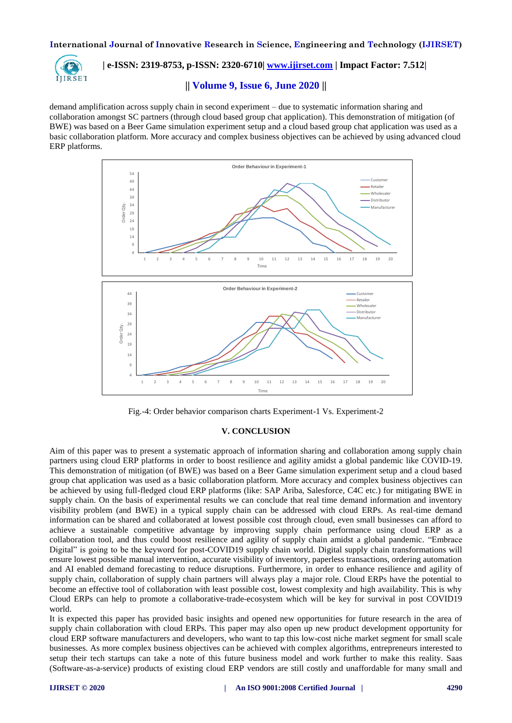

 **| e-ISSN: 2319-8753, p-ISSN: 2320-6710| [www.ijirset.com](http://www.ijirset.com/) | Impact Factor: 7.512|**

## **|| Volume 9, Issue 6, June 2020 ||**

demand amplification across supply chain in second experiment – due to systematic information sharing and collaboration amongst SC partners (through cloud based group chat application). This demonstration of mitigation (of BWE) was based on a Beer Game simulation experiment setup and a cloud based group chat application was used as a basic collaboration platform. More accuracy and complex business objectives can be achieved by using advanced cloud ERP platforms.



Fig.-4: Order behavior comparison charts Experiment-1 Vs. Experiment-2

#### **V. CONCLUSION**

Aim of this paper was to present a systematic approach of information sharing and collaboration among supply chain partners using cloud ERP platforms in order to boost resilience and agility amidst a global pandemic like COVID-19. This demonstration of mitigation (of BWE) was based on a Beer Game simulation experiment setup and a cloud based group chat application was used as a basic collaboration platform. More accuracy and complex business objectives can be achieved by using full-fledged cloud ERP platforms (like: SAP Ariba, Salesforce, C4C etc.) for mitigating BWE in supply chain. On the basis of experimental results we can conclude that real time demand information and inventory visibility problem (and BWE) in a typical supply chain can be addressed with cloud ERPs. As real-time demand information can be shared and collaborated at lowest possible cost through cloud, even small businesses can afford to achieve a sustainable competitive advantage by improving supply chain performance using cloud ERP as a collaboration tool, and thus could boost resilience and agility of supply chain amidst a global pandemic. "Embrace Digital" is going to be the keyword for post-COVID19 supply chain world. Digital supply chain transformations will ensure lowest possible manual intervention, accurate visibility of inventory, paperless transactions, ordering automation and AI enabled demand forecasting to reduce disruptions. Furthermore, in order to enhance resilience and agility of supply chain, collaboration of supply chain partners will always play a major role. Cloud ERPs have the potential to become an effective tool of collaboration with least possible cost, lowest complexity and high availability. This is why Cloud ERPs can help to promote a collaborative-trade-ecosystem which will be key for survival in post COVID19 world.

It is expected this paper has provided basic insights and opened new opportunities for future research in the area of supply chain collaboration with cloud ERPs. This paper may also open up new product development opportunity for cloud ERP software manufacturers and developers, who want to tap this low-cost niche market segment for small scale businesses. As more complex business objectives can be achieved with complex algorithms, entrepreneurs interested to setup their tech startups can take a note of this future business model and work further to make this reality. Saas (Software-as-a-service) products of existing cloud ERP vendors are still costly and unaffordable for many small and